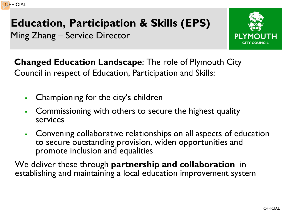## **Education, Participation & Skills (EPS)** Ming Zhang – Service Director



**Changed Education Landscape**: The role of Plymouth City Council in respect of Education, Participation and Skills:

- Championing for the city's children
- Commissioning with others to secure the highest quality services
- Convening collaborative relationships on all aspects of education to secure outstanding provision, widen opportunities and promote inclusion and equalities

We deliver these through **partnership and collaboration** in establishing and maintaining a local education improvement system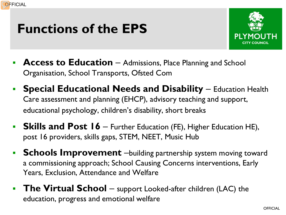# **Functions of the EPS**



- **Access to Education** Admissions, Place Planning and School Organisation, School Transports, Ofsted Com
- **Special Educational Needs and Disability** Education Health Care assessment and planning (EHCP), advisory teaching and support, educational psychology, children's disability, short breaks
- **Skills and Post 16** Further Education (FE), Higher Education HE), post 16 providers, skills gaps, STEM, NEET, Music Hub
- **Schools Improvement** –building partnership system moving toward a commissioning approach; School Causing Concerns interventions, Early Years, Exclusion, Attendance and Welfare
- **The Virtual School** support Looked-after children (LAC) the education, progress and emotional welfare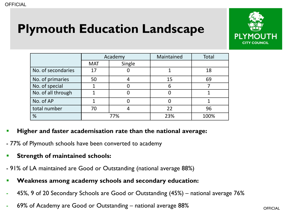# **Plymouth Education Landscape**



|                    | Academy    |        | Maintained | Total |
|--------------------|------------|--------|------------|-------|
|                    | <b>MAT</b> | Single |            |       |
| No. of secondaries | 17         |        |            | 18    |
| No. of primaries   | 50         |        | 15         | 69    |
| No. of special     |            |        |            |       |
| No. of all through |            |        |            |       |
| No. of AP          |            |        |            |       |
| total number       | 70         |        | 22         | 96    |
| %                  | 77%        |        | 23%        | 100%  |

#### **Higher and faster academisation rate than the national average:**

- 77% of Plymouth schools have been converted to academy

**Strength of maintained schools:** 

- 91% of LA maintained are Good or Outstanding (national average 88%)

- **Weakness among academy schools and secondary education:**
- 45%, 9 of 20 Secondary Schools are Good or Outstanding (45%) national average 76%
- 69% of Academy are Good or Outstanding national average 88%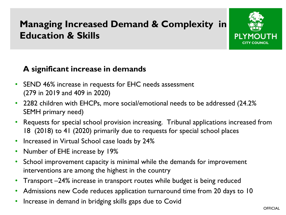## **Managing Increased Demand & Complexity in Education & Skills**



### **A significant increase in demands**

- SEND 46% increase in requests for EHC needs assessment (279 in 2019 and 409 in 2020)
- 2282 children with EHCPs, more social/emotional needs to be addressed (24.2% SEMH primary need)
- Requests for special school provision increasing. Tribunal applications increased from 18 (2018) to 41 (2020) primarily due to requests for special school places
- Increased in Virtual School case loads by 24%
- Number of EHE increase by 19%
- School improvement capacity is minimal while the demands for improvement interventions are among the highest in the country
- Transport –24% increase in transport routes while budget is being reduced
- Admissions new Code reduces application turnaround time from 20 days to 10
- Increase in demand in bridging skills gaps due to Covid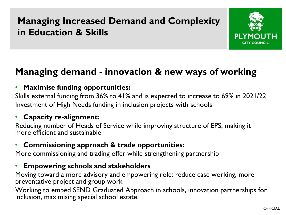## **Managing Increased Demand and Complexity in Education & Skills**



### **Managing demand - innovation & new ways of working**

### • **Maximise funding opportunities:**

Skills external funding from 36% to 41% and is expected to increase to 69% in 2021/22 Investment of High Needs funding in inclusion projects with schools

#### • **Capacity re-alignment:**

Reducing number of Heads of Service while improving structure of EPS, making it more efficient and sustainable

### • **Commissioning approach & trade opportunities:**

More commissioning and trading offer while strengthening partnership

### • **Empowering schools and stakeholders**

Moving toward a more advisory and empowering role: reduce case working, more preventative project and group work

Working to embed SEND Graduated Approach in schools, innovation partnerships for inclusion, maximising special school estate.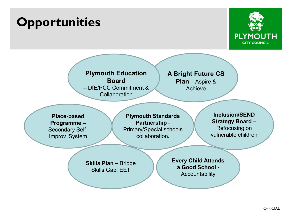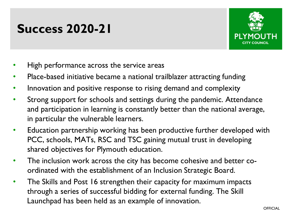# **Success 2020-21**



- High performance across the service areas
- Place-based initiative became a national trailblazer attracting funding
- Innovation and positive response to rising demand and complexity
- Strong support for schools and settings during the pandemic. Attendance and participation in learning is constantly better than the national average, in particular the vulnerable learners.
- Education partnership working has been productive further developed with PCC, schools, MATs, RSC and TSC gaining mutual trust in developing shared objectives for Plymouth education.
- The inclusion work across the city has become cohesive and better coordinated with the establishment of an Inclusion Strategic Board.
- The Skills and Post 16 strengthen their capacity for maximum impacts through a series of successful bidding for external funding. The Skill Launchpad has been held as an example of innovation.